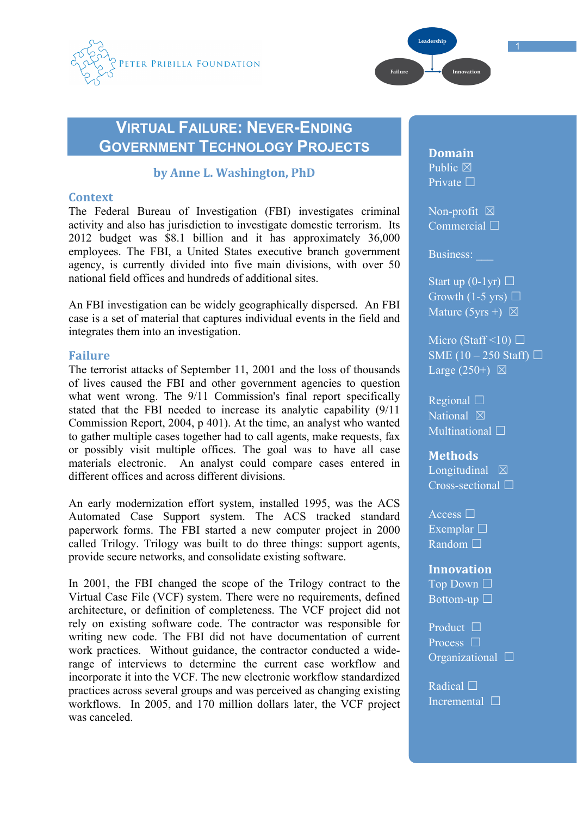



1

# **VIRTUAL FAILURE: NEVER-ENDING GOVERNMENT TECHNOLOGY PROJECTS**

## **by
Anne
L.
Washington,
PhD**

## **Context**

The Federal Bureau of Investigation (FBI) investigates criminal activity and also has jurisdiction to investigate domestic terrorism. Its 2012 budget was \$8.1 billion and it has approximately 36,000 employees. The FBI, a United States executive branch government agency, is currently divided into five main divisions, with over 50 national field offices and hundreds of additional sites.

An FBI investigation can be widely geographically dispersed. An FBI case is a set of material that captures individual events in the field and integrates them into an investigation.

## **Failure**

The terrorist attacks of September 11, 2001 and the loss of thousands of lives caused the FBI and other government agencies to question what went wrong. The 9/11 Commission's final report specifically stated that the FBI needed to increase its analytic capability (9/11 Commission Report, 2004, p 401). At the time, an analyst who wanted to gather multiple cases together had to call agents, make requests, fax or possibly visit multiple offices. The goal was to have all case materials electronic. An analyst could compare cases entered in different offices and across different divisions.

An early modernization effort system, installed 1995, was the ACS Automated Case Support system. The ACS tracked standard paperwork forms. The FBI started a new computer project in 2000 called Trilogy. Trilogy was built to do three things: support agents, provide secure networks, and consolidate existing software.

In 2001, the FBI changed the scope of the Trilogy contract to the Virtual Case File (VCF) system. There were no requirements, defined architecture, or definition of completeness. The VCF project did not rely on existing software code. The contractor was responsible for writing new code. The FBI did not have documentation of current work practices. Without guidance, the contractor conducted a widerange of interviews to determine the current case workflow and incorporate it into the VCF. The new electronic workflow standardized practices across several groups and was perceived as changing existing workflows. In 2005, and 170 million dollars later, the VCF project was canceled.

**Domain** Public  $\boxtimes$ Private □

Non-profit  $\boxtimes$ Commercial □

Business:

Start up  $(0-1yr)$   $\Box$ Growth (1-5 yrs)  $\Box$ Mature (5yrs +)  $\boxtimes$ 

Micro (Staff <10)  $\Box$ SME  $(10 - 250$  Staff)  $\Box$ Large  $(250+)$   $\boxtimes$ 

Regional ☐ National  $\boxtimes$ Multinational <del>□</del>

#### **Methods**

Longitudinal  $\boxtimes$ Cross-sectional  $\Box$ 

Access □ Exemplar  $\Box$ **Random** □

**Innovation**

Top Down □ Bottom-up  $\square$ 

Product □ Process □ Organizational ☐

Radical □ Incremental □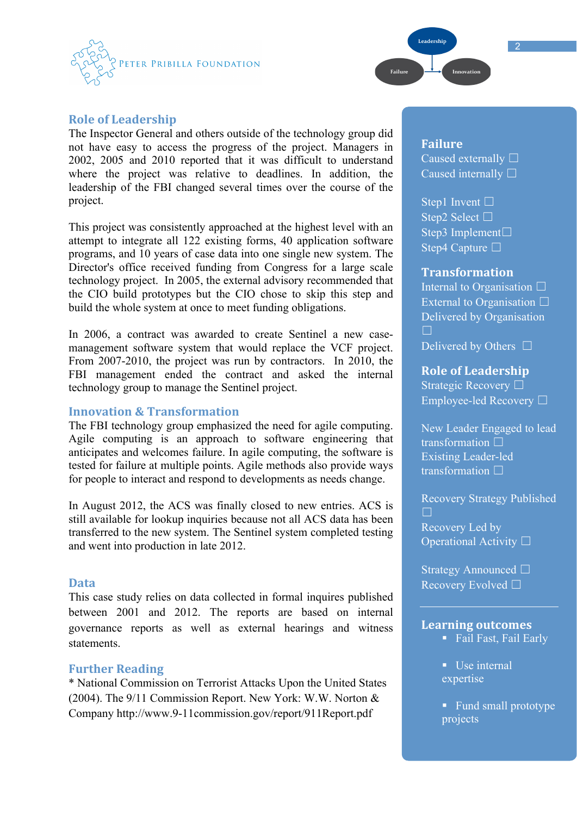



The Inspector General and others outside of the technology group did not have easy to access the progress of the project. Managers in 2002, 2005 and 2010 reported that it was difficult to understand where the project was relative to deadlines. In addition, the leadership of the FBI changed several times over the course of the project.

This project was consistently approached at the highest level with an attempt to integrate all 122 existing forms, 40 application software programs, and 10 years of case data into one single new system. The Director's office received funding from Congress for a large scale technology project. In 2005, the external advisory recommended that the CIO build prototypes but the CIO chose to skip this step and build the whole system at once to meet funding obligations.

In 2006, a contract was awarded to create Sentinel a new casemanagement software system that would replace the VCF project. From 2007-2010, the project was run by contractors. In 2010, the FBI management ended the contract and asked the internal technology group to manage the Sentinel project.

#### **Innovation
&
Transformation**

The FBI technology group emphasized the need for agile computing. Agile computing is an approach to software engineering that anticipates and welcomes failure. In agile computing, the software is tested for failure at multiple points. Agile methods also provide ways for people to interact and respond to developments as needs change.

In August 2012, the ACS was finally closed to new entries. ACS is still available for lookup inquiries because not all ACS data has been transferred to the new system. The Sentinel system completed testing and went into production in late 2012.

#### **Data**

This case study relies on data collected in formal inquires published between 2001 and 2012. The reports are based on internal governance reports as well as external hearings and witness statements.

### **Further
Reading**

\* National Commission on Terrorist Attacks Upon the United States (2004). The 9/11 Commission Report. New York: W.W. Norton & Company http://www.9-11commission.gov/report/911Report.pdf

## **Failure**

.<br>Leadershii

.<br>Failure

Caused externally □ Caused internally  $\square$ 

Step1 Invent  $\Box$ Step2 Select □ Step3 Implement□ Step4 Capture □

#### **Transformation**

Internal to Organisation □ External to Organisation  $\Box$ Delivered by Organisation Delivered by Others  $\Box$ 

#### **Role
of
Leadership**

Strategic Recovery ☐ Employee-led Recovery ☐

New Leader Engaged to lead transformation □ Existing Leader-led transformation □

Recovery Strategy Published ☐ Recovery Led by Operational Activity □

Strategy Announced □ Recovery Evolved □

#### **Learning
outcomes**

- Fail Fast, Fail Early
- Use internal expertise
- Fund small prototype projects